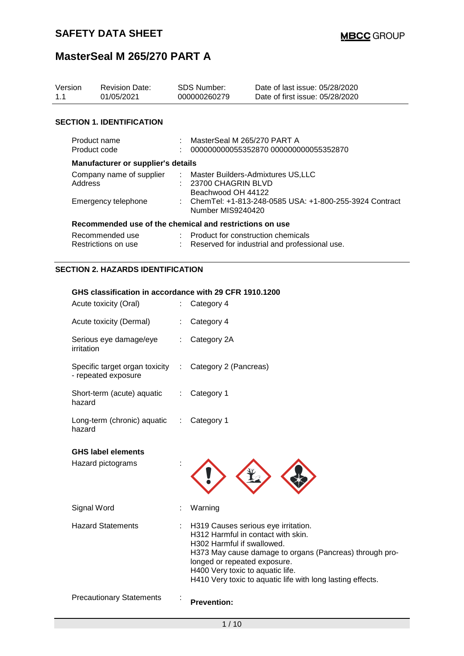| Version<br>1.1 | <b>Revision Date:</b><br>01/05/2021                     |  | <b>SDS Number:</b><br>000000260279                                                                        | Date of last issue: 05/28/2020<br>Date of first issue: 05/28/2020 |  |
|----------------|---------------------------------------------------------|--|-----------------------------------------------------------------------------------------------------------|-------------------------------------------------------------------|--|
|                | <b>SECTION 1. IDENTIFICATION</b>                        |  |                                                                                                           |                                                                   |  |
| Product code   | Product name                                            |  | MasterSeal M 265/270 PART A                                                                               | 000000000055352870 000000000055352870                             |  |
|                | Manufacturer or supplier's details                      |  |                                                                                                           |                                                                   |  |
|                | Address                                                 |  | Company name of supplier : Master Builders-Admixtures US, LLC<br>23700 CHAGRIN BLVD<br>Beachwood OH 44122 |                                                                   |  |
|                | Emergency telephone                                     |  | : ChemTel: +1-813-248-0585 USA: +1-800-255-3924 Contract<br>Number MIS9240420                             |                                                                   |  |
|                | Recommended use of the chemical and restrictions on use |  |                                                                                                           |                                                                   |  |
|                | Recommended use<br>Restrictions on use                  |  | : Product for construction chemicals                                                                      | Reserved for industrial and professional use.                     |  |
|                | <b>SECTION 2. HAZARDS IDENTIFICATION</b>                |  |                                                                                                           |                                                                   |  |

## **GHS classification in accordance with 29 CFR 1910.1200**

| Acute toxicity (Dermal)<br>Serious eye damage/eye       |   | Category 4                                                                                                                                                                                                                                                                                           |
|---------------------------------------------------------|---|------------------------------------------------------------------------------------------------------------------------------------------------------------------------------------------------------------------------------------------------------------------------------------------------------|
|                                                         |   |                                                                                                                                                                                                                                                                                                      |
| irritation                                              |   | Category 2A                                                                                                                                                                                                                                                                                          |
| Specific target organ toxicity :<br>- repeated exposure |   | Category 2 (Pancreas)                                                                                                                                                                                                                                                                                |
| Short-term (acute) aquatic<br>hazard                    | ÷ | Category 1                                                                                                                                                                                                                                                                                           |
| Long-term (chronic) aquatic<br>hazard                   | ÷ | Category 1                                                                                                                                                                                                                                                                                           |
| <b>GHS label elements</b><br>Hazard pictograms          |   |                                                                                                                                                                                                                                                                                                      |
| Signal Word                                             |   | Warning                                                                                                                                                                                                                                                                                              |
| <b>Hazard Statements</b>                                |   | H319 Causes serious eye irritation.<br>H312 Harmful in contact with skin.<br>H302 Harmful if swallowed.<br>H373 May cause damage to organs (Pancreas) through pro-<br>longed or repeated exposure.<br>H400 Very toxic to aquatic life.<br>H410 Very toxic to aquatic life with long lasting effects. |
| <b>Precautionary Statements</b>                         |   | <b>Prevention:</b>                                                                                                                                                                                                                                                                                   |
|                                                         |   |                                                                                                                                                                                                                                                                                                      |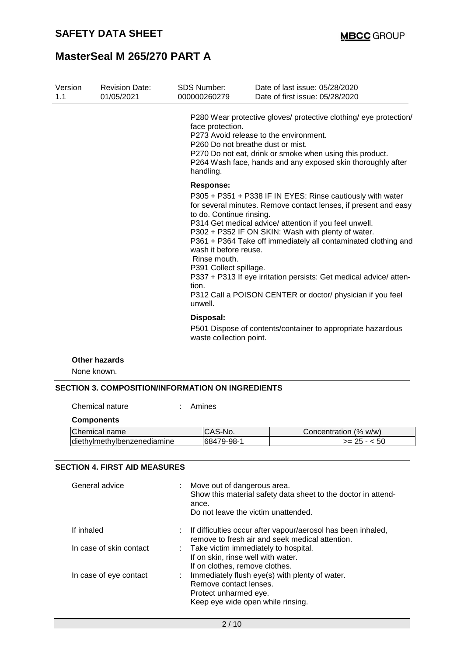| Version<br>1.1 | <b>Revision Date:</b><br>01/05/2021 | <b>SDS Number:</b><br>000000260279                                                                                           | Date of last issue: 05/28/2020<br>Date of first issue: 05/28/2020                                                                                                                                                                                                                                                                                                                                                                                   |  |
|----------------|-------------------------------------|------------------------------------------------------------------------------------------------------------------------------|-----------------------------------------------------------------------------------------------------------------------------------------------------------------------------------------------------------------------------------------------------------------------------------------------------------------------------------------------------------------------------------------------------------------------------------------------------|--|
|                |                                     | face protection.<br>P260 Do not breathe dust or mist.<br>handling.                                                           | P280 Wear protective gloves/ protective clothing/ eye protection/<br>P273 Avoid release to the environment.<br>P270 Do not eat, drink or smoke when using this product.<br>P264 Wash face, hands and any exposed skin thoroughly after                                                                                                                                                                                                              |  |
|                |                                     | Response:<br>to do. Continue rinsing.<br>wash it before reuse.<br>Rinse mouth.<br>P391 Collect spillage.<br>tion.<br>unwell. | P305 + P351 + P338 IF IN EYES: Rinse cautiously with water<br>for several minutes. Remove contact lenses, if present and easy<br>P314 Get medical advice/ attention if you feel unwell.<br>P302 + P352 IF ON SKIN: Wash with plenty of water.<br>P361 + P364 Take off immediately all contaminated clothing and<br>P337 + P313 If eye irritation persists: Get medical advice/ atten-<br>P312 Call a POISON CENTER or doctor/ physician if you feel |  |
|                |                                     | Disposal:<br>P501 Dispose of contents/container to appropriate hazardous<br>waste collection point.                          |                                                                                                                                                                                                                                                                                                                                                                                                                                                     |  |
| None known.    | <b>Other hazards</b>                |                                                                                                                              |                                                                                                                                                                                                                                                                                                                                                                                                                                                     |  |

## **SECTION 3. COMPOSITION/INFORMATION ON INGREDIENTS**

Chemical nature : Amines

| <b>Components</b>            |            |                       |
|------------------------------|------------|-----------------------|
| Chemical name                | ICAS-No.   | Concentration (% w/w) |
| ldiethylmethylbenzenediamine | 68479-98-1 | $>= 25 - 50$          |

## **SECTION 4. FIRST AID MEASURES**

| General advice          | : Move out of dangerous area.<br>Show this material safety data sheet to the doctor in attend-<br>ance.<br>Do not leave the victim unattended. |
|-------------------------|------------------------------------------------------------------------------------------------------------------------------------------------|
| If inhaled              | : If difficulties occur after vapour/aerosol has been inhaled,<br>remove to fresh air and seek medical attention.                              |
| In case of skin contact | : Take victim immediately to hospital.<br>If on skin, rinse well with water.<br>If on clothes, remove clothes.                                 |
| In case of eye contact  | : Immediately flush eye(s) with plenty of water.<br>Remove contact lenses.<br>Protect unharmed eye.<br>Keep eye wide open while rinsing.       |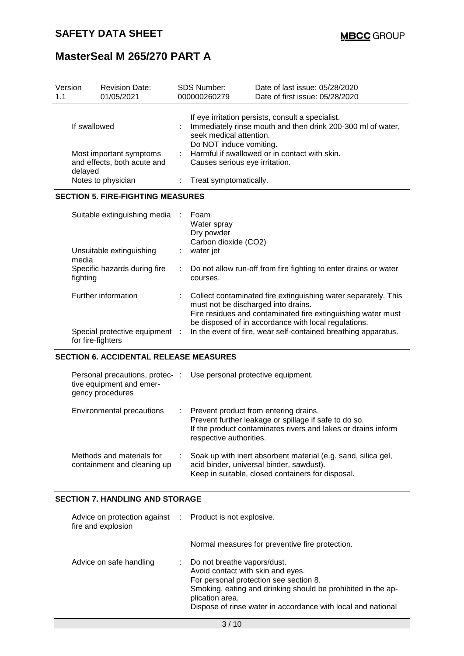| Version<br>1.1 |          | <b>Revision Date:</b><br>01/05/2021                         |                                                                                                                                                                        | <b>SDS Number:</b><br>000000260279                                              | Date of last issue: 05/28/2020<br>Date of first issue: 05/28/2020                                                                                                                      |  |
|----------------|----------|-------------------------------------------------------------|------------------------------------------------------------------------------------------------------------------------------------------------------------------------|---------------------------------------------------------------------------------|----------------------------------------------------------------------------------------------------------------------------------------------------------------------------------------|--|
| If swallowed   |          |                                                             | If eye irritation persists, consult a specialist.<br>Immediately rinse mouth and then drink 200-300 ml of water,<br>seek medical attention.<br>Do NOT induce vomiting. |                                                                                 |                                                                                                                                                                                        |  |
|                | delayed  | Most important symptoms<br>and effects, both acute and      | ÷.                                                                                                                                                                     | Harmful if swallowed or in contact with skin.<br>Causes serious eye irritation. |                                                                                                                                                                                        |  |
|                |          | Notes to physician                                          |                                                                                                                                                                        | Treat symptomatically.                                                          |                                                                                                                                                                                        |  |
|                |          | <b>SECTION 5. FIRE-FIGHTING MEASURES</b>                    |                                                                                                                                                                        |                                                                                 |                                                                                                                                                                                        |  |
|                |          | Suitable extinguishing media                                |                                                                                                                                                                        | Foam<br>Water spray<br>Dry powder<br>Carbon dioxide (CO2)                       |                                                                                                                                                                                        |  |
|                | media    | Unsuitable extinguishing                                    |                                                                                                                                                                        | water jet                                                                       |                                                                                                                                                                                        |  |
|                | fighting | Specific hazards during fire                                | Do not allow run-off from fire fighting to enter drains or water<br>÷<br>courses.                                                                                      |                                                                                 |                                                                                                                                                                                        |  |
|                |          | Further information                                         |                                                                                                                                                                        | must not be discharged into drains.                                             | Collect contaminated fire extinguishing water separately. This<br>Fire residues and contaminated fire extinguishing water must<br>be disposed of in accordance with local regulations. |  |
|                |          | Special protective equipment :<br>for fire-fighters         |                                                                                                                                                                        |                                                                                 | In the event of fire, wear self-contained breathing apparatus.                                                                                                                         |  |
|                |          | <b>SECTION 6. ACCIDENTAL RELEASE MEASURES</b>               |                                                                                                                                                                        |                                                                                 |                                                                                                                                                                                        |  |
|                |          | Personal precautions, protec- :<br>tive equipment and emer- |                                                                                                                                                                        |                                                                                 | Use personal protective equipment.                                                                                                                                                     |  |

| Environmental precautions                                | : Prevent product from entering drains.<br>Prevent further leakage or spillage if safe to do so.<br>If the product contaminates rivers and lakes or drains inform<br>respective authorities. |
|----------------------------------------------------------|----------------------------------------------------------------------------------------------------------------------------------------------------------------------------------------------|
| Methods and materials for<br>containment and cleaning up | Soak up with inert absorbent material (e.g. sand, silica gel,<br>acid binder, universal binder, sawdust).<br>Keep in suitable, closed containers for disposal.                               |

## **SECTION 7. HANDLING AND STORAGE**

gency procedures

| Advice on protection against : Product is not explosive.<br>fire and explosion |                                                                                                                                                                                                                                                               |
|--------------------------------------------------------------------------------|---------------------------------------------------------------------------------------------------------------------------------------------------------------------------------------------------------------------------------------------------------------|
|                                                                                | Normal measures for preventive fire protection.                                                                                                                                                                                                               |
| Advice on safe handling                                                        | Do not breathe vapors/dust.<br>Avoid contact with skin and eyes.<br>For personal protection see section 8.<br>Smoking, eating and drinking should be prohibited in the ap-<br>plication area.<br>Dispose of rinse water in accordance with local and national |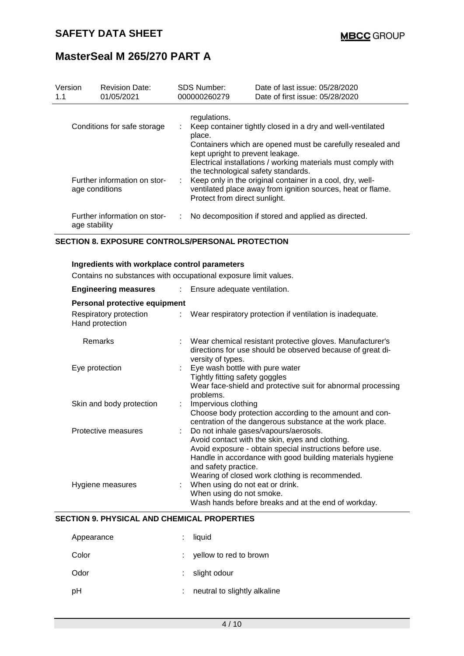| Version<br>1.1                                 | <b>Revision Date:</b><br>01/05/2021           | <b>SDS Number:</b><br>000000260279                                                                                                                 | Date of last issue: 05/28/2020<br>Date of first issue: 05/28/2020                                                                                                                                                                                                                                     |  |  |  |
|------------------------------------------------|-----------------------------------------------|----------------------------------------------------------------------------------------------------------------------------------------------------|-------------------------------------------------------------------------------------------------------------------------------------------------------------------------------------------------------------------------------------------------------------------------------------------------------|--|--|--|
| Conditions for safe storage                    |                                               | regulations.<br>Keep container tightly closed in a dry and well-ventilated<br>place.<br>Containers which are opened must be carefully resealed and |                                                                                                                                                                                                                                                                                                       |  |  |  |
| Further information on stor-<br>age conditions |                                               |                                                                                                                                                    | kept upright to prevent leakage.<br>Electrical installations / working materials must comply with<br>the technological safety standards.<br>Keep only in the original container in a cool, dry, well-<br>ventilated place away from ignition sources, heat or flame.<br>Protect from direct sunlight. |  |  |  |
|                                                | Further information on stor-<br>age stability |                                                                                                                                                    | No decomposition if stored and applied as directed.                                                                                                                                                                                                                                                   |  |  |  |

### **SECTION 8. EXPOSURE CONTROLS/PERSONAL PROTECTION**

#### **Ingredients with workplace control parameters**

Contains no substances with occupational exposure limit values.

| <b>Engineering measures</b>                                                | : Ensure adequate ventilation.                                                                                                                                                                                                                                                                 |  |  |
|----------------------------------------------------------------------------|------------------------------------------------------------------------------------------------------------------------------------------------------------------------------------------------------------------------------------------------------------------------------------------------|--|--|
| Personal protective equipment<br>Respiratory protection<br>Hand protection | : Wear respiratory protection if ventilation is inadequate.                                                                                                                                                                                                                                    |  |  |
| Remarks                                                                    | : Wear chemical resistant protective gloves. Manufacturer's<br>directions for use should be observed because of great di-<br>versity of types.                                                                                                                                                 |  |  |
| Eye protection                                                             | : Eye wash bottle with pure water<br>Tightly fitting safety goggles<br>Wear face-shield and protective suit for abnormal processing<br>problems.                                                                                                                                               |  |  |
| Skin and body protection                                                   | Impervious clothing<br>Choose body protection according to the amount and con-<br>centration of the dangerous substance at the work place.                                                                                                                                                     |  |  |
| Protective measures                                                        | : Do not inhale gases/vapours/aerosols.<br>Avoid contact with the skin, eyes and clothing.<br>Avoid exposure - obtain special instructions before use.<br>Handle in accordance with good building materials hygiene<br>and safety practice.<br>Wearing of closed work clothing is recommended. |  |  |
| Hygiene measures                                                           | : When using do not eat or drink.<br>When using do not smoke.<br>Wash hands before breaks and at the end of workday.                                                                                                                                                                           |  |  |

## **SECTION 9. PHYSICAL AND CHEMICAL PROPERTIES**

| Appearance | $:$ liquid                   |
|------------|------------------------------|
| Color      | $:$ yellow to red to brown   |
| Odor       | $:$ slight odour             |
| рH         | neutral to slightly alkaline |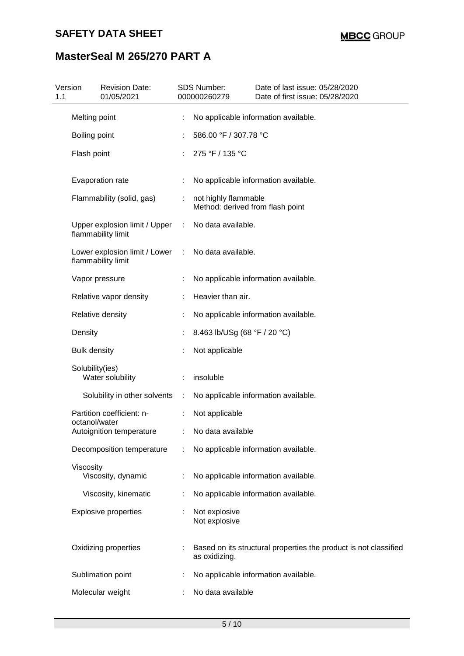## **SAFETY DATA SHEET**

# **MasterSeal M 265/270 PART A**

| 1.1 | Version             | <b>Revision Date:</b><br>01/05/2021                 |                       | <b>SDS Number:</b><br>000000260279                       | Date of last issue: 05/28/2020<br>Date of first issue: 05/28/2020 |  |
|-----|---------------------|-----------------------------------------------------|-----------------------|----------------------------------------------------------|-------------------------------------------------------------------|--|
|     | Melting point       |                                                     |                       |                                                          | No applicable information available.                              |  |
|     | Boiling point       |                                                     |                       | 586.00 °F / 307.78 °C                                    |                                                                   |  |
|     | Flash point         |                                                     |                       | 275 °F / 135 °C                                          |                                                                   |  |
|     |                     | Evaporation rate                                    |                       |                                                          | No applicable information available.                              |  |
|     |                     | Flammability (solid, gas)                           | ÷                     | not highly flammable<br>Method: derived from flash point |                                                                   |  |
|     |                     | Upper explosion limit / Upper<br>flammability limit | ÷                     | No data available.                                       |                                                                   |  |
|     |                     | Lower explosion limit / Lower<br>flammability limit | $\ddot{\phantom{a}}$  | No data available.                                       |                                                                   |  |
|     |                     | Vapor pressure                                      |                       |                                                          | No applicable information available.                              |  |
|     |                     | Relative vapor density                              |                       | Heavier than air.                                        |                                                                   |  |
|     |                     | Relative density                                    |                       |                                                          | No applicable information available.                              |  |
|     | Density             |                                                     |                       | 8.463 lb/USg (68 °F / 20 °C)                             |                                                                   |  |
|     | <b>Bulk density</b> |                                                     |                       | Not applicable                                           |                                                                   |  |
|     | Solubility(ies)     | Water solubility                                    |                       | insoluble                                                |                                                                   |  |
|     |                     | Solubility in other solvents                        | $\mathbb{C}^{\times}$ |                                                          | No applicable information available.                              |  |
|     | octanol/water       | Partition coefficient: n-                           |                       | Not applicable                                           |                                                                   |  |
|     |                     | Autoignition temperature                            |                       | No data available                                        |                                                                   |  |
|     |                     | Decomposition temperature                           |                       |                                                          | No applicable information available.                              |  |
|     | Viscosity           | Viscosity, dynamic                                  |                       |                                                          | No applicable information available.                              |  |
|     |                     | Viscosity, kinematic                                |                       |                                                          | No applicable information available.                              |  |
|     |                     | <b>Explosive properties</b>                         |                       | Not explosive<br>Not explosive                           |                                                                   |  |
|     |                     | Oxidizing properties                                |                       | as oxidizing.                                            | Based on its structural properties the product is not classified  |  |
|     |                     | Sublimation point                                   |                       |                                                          | No applicable information available.                              |  |
|     |                     | Molecular weight                                    |                       | No data available                                        |                                                                   |  |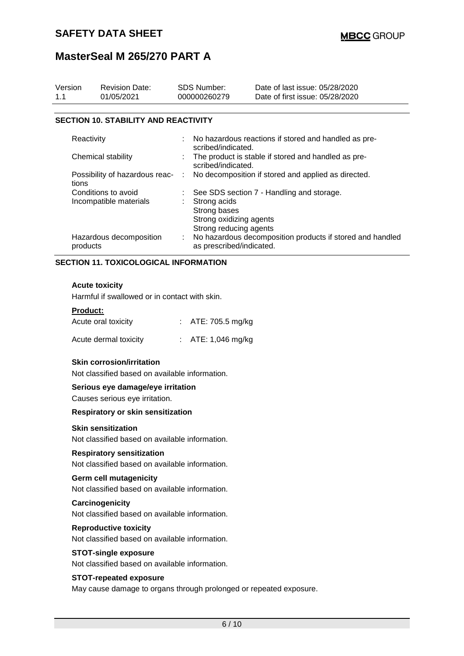| Version<br>1.1                          | <b>Revision Date:</b><br>01/05/2021         |   | <b>SDS Number:</b><br>000000260279                                                    | Date of last issue: 05/28/2020<br>Date of first issue: 05/28/2020 |  |
|-----------------------------------------|---------------------------------------------|---|---------------------------------------------------------------------------------------|-------------------------------------------------------------------|--|
|                                         |                                             |   |                                                                                       |                                                                   |  |
|                                         | <b>SECTION 10. STABILITY AND REACTIVITY</b> |   |                                                                                       |                                                                   |  |
| Reactivity                              |                                             |   | : No hazardous reactions if stored and handled as pre-<br>scribed/indicated.          |                                                                   |  |
| Chemical stability                      |                                             |   | The product is stable if stored and handled as pre-<br>scribed/indicated.             |                                                                   |  |
| Possibility of hazardous reac-<br>tions |                                             | ÷ | No decomposition if stored and applied as directed.                                   |                                                                   |  |
| Conditions to avoid                     |                                             |   | : See SDS section 7 - Handling and storage.                                           |                                                                   |  |
| Incompatible materials                  |                                             |   | Strong acids<br>Strong bases<br>Strong oxidizing agents<br>Strong reducing agents     |                                                                   |  |
| products                                | Hazardous decomposition                     |   | No hazardous decomposition products if stored and handled<br>as prescribed/indicated. |                                                                   |  |

## **SECTION 11. TOXICOLOGICAL INFORMATION**

## **Acute toxicity**

Harmful if swallowed or in contact with skin.

#### **Product:**

| Acute oral toxicity   | : $ATE: 705.5$ mg/kg         |
|-----------------------|------------------------------|
| Acute dermal toxicity | : $ATE: 1,046 \text{ mg/kg}$ |

## **Skin corrosion/irritation**

Not classified based on available information.

#### **Serious eye damage/eye irritation**

Causes serious eye irritation.

#### **Respiratory or skin sensitization**

#### **Skin sensitization**

Not classified based on available information.

#### **Respiratory sensitization**

Not classified based on available information.

### **Germ cell mutagenicity**

Not classified based on available information.

#### **Carcinogenicity**

Not classified based on available information.

#### **Reproductive toxicity**

Not classified based on available information.

## **STOT-single exposure**

Not classified based on available information.

## **STOT-repeated exposure**

May cause damage to organs through prolonged or repeated exposure.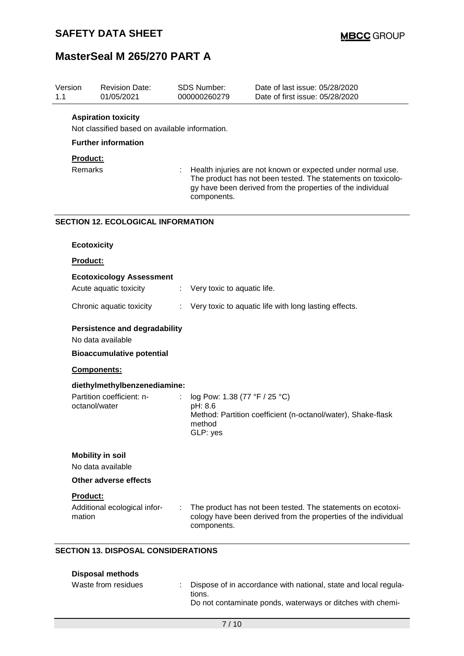| Version<br>1.1 |                                                           | <b>Revision Date:</b><br>01/05/2021                                   |    | <b>SDS Number:</b><br>000000260279                                                                                                                                                                       | Date of last issue: 05/28/2020<br>Date of first issue: 05/28/2020                                                             |  |
|----------------|-----------------------------------------------------------|-----------------------------------------------------------------------|----|----------------------------------------------------------------------------------------------------------------------------------------------------------------------------------------------------------|-------------------------------------------------------------------------------------------------------------------------------|--|
|                |                                                           | <b>Aspiration toxicity</b>                                            |    |                                                                                                                                                                                                          |                                                                                                                               |  |
|                |                                                           | Not classified based on available information.                        |    |                                                                                                                                                                                                          |                                                                                                                               |  |
|                |                                                           | <b>Further information</b>                                            |    |                                                                                                                                                                                                          |                                                                                                                               |  |
|                | Product:<br>Remarks                                       |                                                                       |    | Health injuries are not known or expected under normal use.<br>The product has not been tested. The statements on toxicolo-<br>gy have been derived from the properties of the individual<br>components. |                                                                                                                               |  |
|                |                                                           | <b>SECTION 12. ECOLOGICAL INFORMATION</b>                             |    |                                                                                                                                                                                                          |                                                                                                                               |  |
|                | <b>Ecotoxicity</b>                                        |                                                                       |    |                                                                                                                                                                                                          |                                                                                                                               |  |
|                | <b>Product:</b>                                           |                                                                       |    |                                                                                                                                                                                                          |                                                                                                                               |  |
|                |                                                           | <b>Ecotoxicology Assessment</b>                                       |    |                                                                                                                                                                                                          |                                                                                                                               |  |
|                |                                                           | Acute aquatic toxicity                                                | ÷  | Very toxic to aquatic life.                                                                                                                                                                              |                                                                                                                               |  |
|                |                                                           | Chronic aquatic toxicity                                              | ÷. |                                                                                                                                                                                                          | Very toxic to aquatic life with long lasting effects.                                                                         |  |
|                | <b>Persistence and degradability</b><br>No data available |                                                                       |    |                                                                                                                                                                                                          |                                                                                                                               |  |
|                |                                                           | <b>Bioaccumulative potential</b>                                      |    |                                                                                                                                                                                                          |                                                                                                                               |  |
|                | Components:                                               |                                                                       |    |                                                                                                                                                                                                          |                                                                                                                               |  |
|                |                                                           | diethylmethylbenzenediamine:                                          |    |                                                                                                                                                                                                          |                                                                                                                               |  |
|                | octanol/water                                             | Partition coefficient: n-                                             |    | log Pow: 1.38 (77 °F / 25 °C)<br>pH: 8.6<br>method<br>GLP: yes                                                                                                                                           | Method: Partition coefficient (n-octanol/water), Shake-flask                                                                  |  |
|                |                                                           | <b>Mobility in soil</b>                                               |    |                                                                                                                                                                                                          |                                                                                                                               |  |
|                |                                                           | No data available                                                     |    |                                                                                                                                                                                                          |                                                                                                                               |  |
|                |                                                           | Other adverse effects                                                 |    |                                                                                                                                                                                                          |                                                                                                                               |  |
|                | <b>Product:</b>                                           |                                                                       |    |                                                                                                                                                                                                          |                                                                                                                               |  |
|                | mation                                                    | Additional ecological infor-                                          |    | components.                                                                                                                                                                                              | The product has not been tested. The statements on ecotoxi-<br>cology have been derived from the properties of the individual |  |
|                |                                                           | <b>SECTION 13. DISPOSAL CONSIDERATIONS</b><br><b>Disposal methods</b> |    |                                                                                                                                                                                                          |                                                                                                                               |  |

Waste from residues : Dispose of in accordance with national, state and local regulations.

Do not contaminate ponds, waterways or ditches with chemi-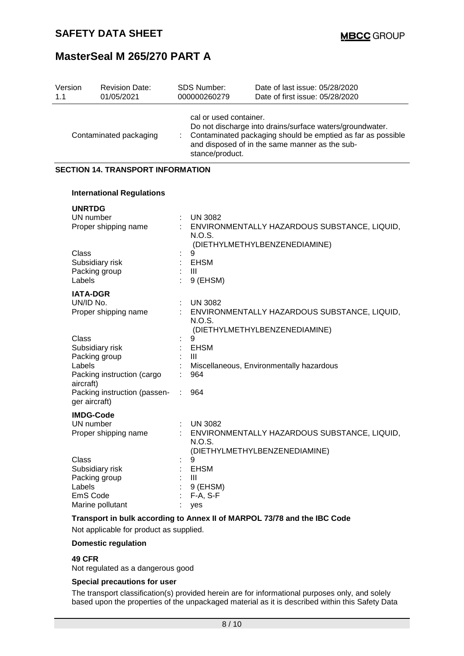| Version<br>1.1               | <b>Revision Date:</b><br>01/05/2021                            | <b>SDS Number:</b><br>000000260279                     | Date of last issue: 05/28/2020<br>Date of first issue: 05/28/2020                                                                                                         |
|------------------------------|----------------------------------------------------------------|--------------------------------------------------------|---------------------------------------------------------------------------------------------------------------------------------------------------------------------------|
| Contaminated packaging       |                                                                | cal or used container.<br>stance/product.              | Do not discharge into drains/surface waters/groundwater.<br>Contaminated packaging should be emptied as far as possible<br>and disposed of in the same manner as the sub- |
|                              | <b>SECTION 14. TRANSPORT INFORMATION</b>                       |                                                        |                                                                                                                                                                           |
|                              | <b>International Regulations</b>                               |                                                        |                                                                                                                                                                           |
| <b>UNRTDG</b>                | UN number<br>Proper shipping name                              | <b>UN 3082</b><br>N.O.S.                               | : ENVIRONMENTALLY HAZARDOUS SUBSTANCE, LIQUID,<br>(DIETHYLMETHYLBENZENEDIAMINE)                                                                                           |
| Class<br>Labels              | Subsidiary risk<br>Packing group                               | 9<br><b>EHSM</b><br>Ш<br>9 (EHSM)                      |                                                                                                                                                                           |
| <b>IATA-DGR</b><br>UN/ID No. | Proper shipping name                                           | <b>UN 3082</b><br>N.O.S.                               | ENVIRONMENTALLY HAZARDOUS SUBSTANCE, LIQUID,<br>(DIETHYLMETHYLBENZENEDIAMINE)                                                                                             |
| Class<br>Labels<br>aircraft) | Subsidiary risk<br>Packing group<br>Packing instruction (cargo | 9<br><b>EHSM</b><br>Ш<br>964                           | Miscellaneous, Environmentally hazardous                                                                                                                                  |
|                              | Packing instruction (passen-<br>ger aircraft)                  | 964<br>÷                                               |                                                                                                                                                                           |
|                              | <b>IMDG-Code</b><br>UN number<br>Proper shipping name          | <b>UN 3082</b><br>N.O.S.                               | ENVIRONMENTALLY HAZARDOUS SUBSTANCE, LIQUID,<br>(DIETHYLMETHYLBENZENEDIAMINE)                                                                                             |
| Class<br>Labels<br>EmS Code  | Subsidiary risk<br>Packing group<br>Marine pollutant           | 9<br><b>EHSM</b><br>Ш<br>9 (EHSM)<br>$F-A, S-F$<br>yes |                                                                                                                                                                           |

**Transport in bulk according to Annex II of MARPOL 73/78 and the IBC Code**

Not applicable for product as supplied.

## **Domestic regulation**

## **49 CFR**

Not regulated as a dangerous good

### **Special precautions for user**

The transport classification(s) provided herein are for informational purposes only, and solely based upon the properties of the unpackaged material as it is described within this Safety Data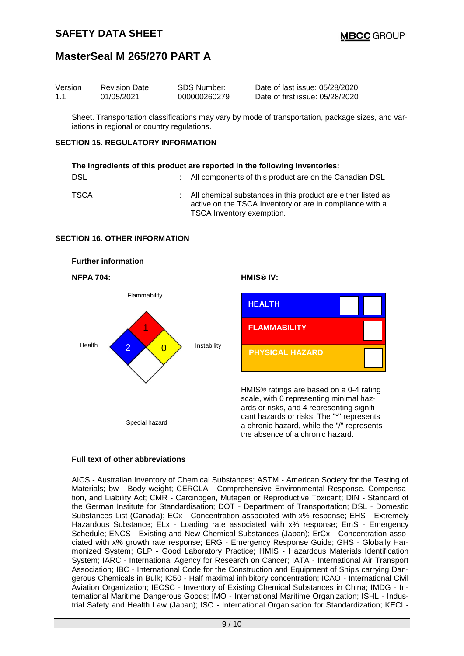| Version | <b>Revision Date:</b> | SDS Number:  | Date of last issue: 05/28/2020  |
|---------|-----------------------|--------------|---------------------------------|
| 1.1     | 01/05/2021            | 000000260279 | Date of first issue: 05/28/2020 |

Sheet. Transportation classifications may vary by mode of transportation, package sizes, and variations in regional or country regulations.

## **SECTION 15. REGULATORY INFORMATION**

| The ingredients of this product are reported in the following inventories: |  |                                                                                                                                                         |  |  |
|----------------------------------------------------------------------------|--|---------------------------------------------------------------------------------------------------------------------------------------------------------|--|--|
| <b>DSL</b>                                                                 |  | : All components of this product are on the Canadian DSL                                                                                                |  |  |
| <b>TSCA</b>                                                                |  | : All chemical substances in this product are either listed as<br>active on the TSCA Inventory or are in compliance with a<br>TSCA Inventory exemption. |  |  |

### **SECTION 16. OTHER INFORMATION**



### **Full text of other abbreviations**

AICS - Australian Inventory of Chemical Substances; ASTM - American Society for the Testing of Materials; bw - Body weight; CERCLA - Comprehensive Environmental Response, Compensation, and Liability Act; CMR - Carcinogen, Mutagen or Reproductive Toxicant; DIN - Standard of the German Institute for Standardisation; DOT - Department of Transportation; DSL - Domestic Substances List (Canada); ECx - Concentration associated with x% response; EHS - Extremely Hazardous Substance; ELx - Loading rate associated with x% response; EmS - Emergency Schedule; ENCS - Existing and New Chemical Substances (Japan); ErCx - Concentration associated with x% growth rate response; ERG - Emergency Response Guide; GHS - Globally Harmonized System; GLP - Good Laboratory Practice; HMIS - Hazardous Materials Identification System; IARC - International Agency for Research on Cancer; IATA - International Air Transport Association; IBC - International Code for the Construction and Equipment of Ships carrying Dangerous Chemicals in Bulk; IC50 - Half maximal inhibitory concentration; ICAO - International Civil Aviation Organization; IECSC - Inventory of Existing Chemical Substances in China; IMDG - International Maritime Dangerous Goods; IMO - International Maritime Organization; ISHL - Industrial Safety and Health Law (Japan); ISO - International Organisation for Standardization; KECI -